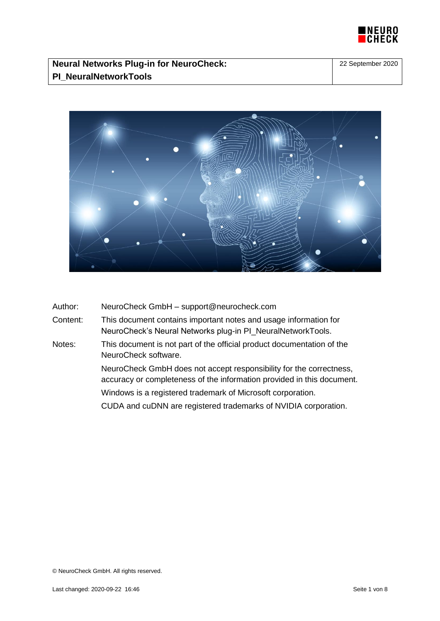



| Author:  | NeuroCheck GmbH - support@neurocheck.com                                                                                                      |  |
|----------|-----------------------------------------------------------------------------------------------------------------------------------------------|--|
| Content: | This document contains important notes and usage information for<br>NeuroCheck's Neural Networks plug-in PI_NeuralNetworkTools.               |  |
| Notes:   | This document is not part of the official product documentation of the<br>NeuroCheck software.                                                |  |
|          | NeuroCheck GmbH does not accept responsibility for the correctness,<br>accuracy or completeness of the information provided in this document. |  |
|          | Windows is a registered trademark of Microsoft corporation.                                                                                   |  |
|          | CUDA and cuDNN are registered trademarks of NVIDIA corporation.                                                                               |  |
|          |                                                                                                                                               |  |

© NeuroCheck GmbH. All rights reserved.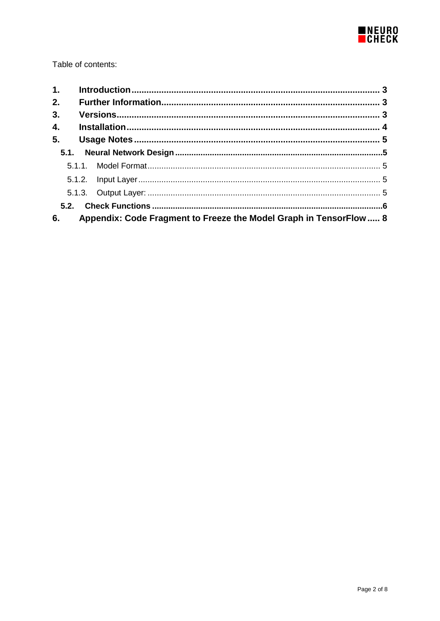

Table of contents:

| 1. |                                                                    |  |
|----|--------------------------------------------------------------------|--|
| 2. |                                                                    |  |
| 3. |                                                                    |  |
| 4. |                                                                    |  |
| 5. |                                                                    |  |
|    |                                                                    |  |
|    |                                                                    |  |
|    |                                                                    |  |
|    |                                                                    |  |
|    |                                                                    |  |
| 6. | Appendix: Code Fragment to Freeze the Model Graph in TensorFlow  8 |  |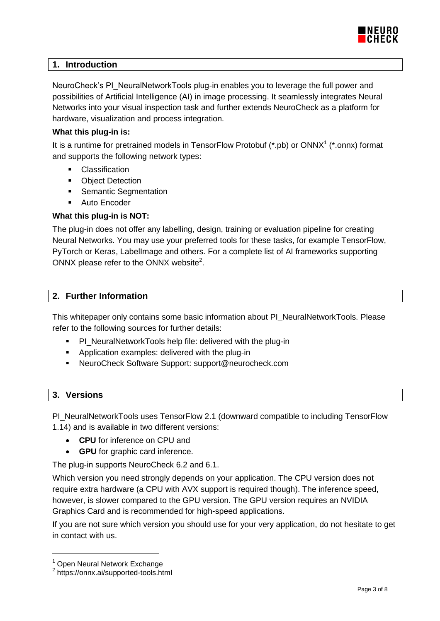

# <span id="page-2-0"></span>**1. Introduction**

NeuroCheck's PI\_NeuralNetworkTools plug-in enables you to leverage the full power and possibilities of Artificial Intelligence (AI) in image processing. It seamlessly integrates Neural Networks into your visual inspection task and further extends NeuroCheck as a platform for hardware, visualization and process integration.

#### **What this plug-in is:**

It is a runtime for pretrained models in TensorFlow Protobuf  $(*.pb)$  or ONNX<sup>1</sup>  $(*.onnx)$  format and supports the following network types:

- Classification
- **-** Object Detection
- Semantic Segmentation
- **Auto Encoder**

# **What this plug-in is NOT:**

The plug-in does not offer any labelling, design, training or evaluation pipeline for creating Neural Networks. You may use your preferred tools for these tasks, for example TensorFlow, PyTorch or Keras, LabelImage and others. For a complete list of AI frameworks supporting ONNX please refer to the ONNX website $^2$ .

# <span id="page-2-1"></span>**2. Further Information**

This whitepaper only contains some basic information about PI\_NeuralNetworkTools. Please refer to the following sources for further details:

- **PI\_NeuralNetworkTools help file: delivered with the plug-in**
- Application examples: delivered with the plug-in
- NeuroCheck Software Support: support@neurocheck.com

# <span id="page-2-2"></span>**3. Versions**

PI\_NeuralNetworkTools uses TensorFlow 2.1 (downward compatible to including TensorFlow 1.14) and is available in two different versions:

- **CPU** for inference on CPU and
- **GPU** for graphic card inference.

The plug-in supports NeuroCheck 6.2 and 6.1.

Which version you need strongly depends on your application. The CPU version does not require extra hardware (a CPU with AVX support is required though). The inference speed, however, is slower compared to the GPU version. The GPU version requires an NVIDIA Graphics Card and is recommended for high-speed applications.

If you are not sure which version you should use for your very application, do not hesitate to get in contact with us.

 $1$  Open Neural Network Exchange

<sup>&</sup>lt;sup>2</sup> https://onnx.ai/supported-tools.html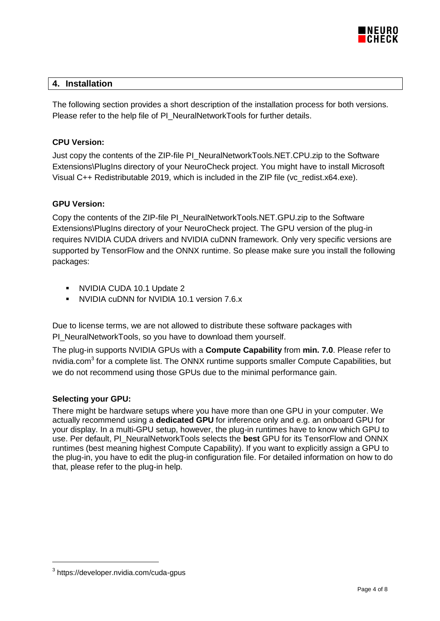

# <span id="page-3-0"></span>**4. Installation**

The following section provides a short description of the installation process for both versions. Please refer to the help file of PI\_NeuralNetworkTools for further details.

# **CPU Version:**

Just copy the contents of the ZIP-file PI\_NeuralNetworkTools.NET.CPU.zip to the Software Extensions\PlugIns directory of your NeuroCheck project. You might have to install Microsoft Visual C++ Redistributable 2019, which is included in the ZIP file (vc\_redist.x64.exe).

# **GPU Version:**

Copy the contents of the ZIP-file PI\_NeuralNetworkTools.NET.GPU.zip to the Software Extensions\PlugIns directory of your NeuroCheck project. The GPU version of the plug-in requires NVIDIA CUDA drivers and NVIDIA cuDNN framework. Only very specific versions are supported by TensorFlow and the ONNX runtime. So please make sure you install the following packages:

- NVIDIA CUDA 10.1 Update 2
- NVIDIA cuDNN for NVIDIA 10.1 version 7.6.x

Due to license terms, we are not allowed to distribute these software packages with PI\_NeuralNetworkTools, so you have to download them yourself.

The plug-in supports NVIDIA GPUs with a **Compute Capability** from **min. 7.0**. Please refer to [nvidia.com](https://developer.nvidia.com/cuda-gpus)<sup>3</sup> for a complete list. The ONNX runtime supports smaller Compute Capabilities, but we do not recommend using those GPUs due to the minimal performance gain.

# **Selecting your GPU:**

There might be hardware setups where you have more than one GPU in your computer. We actually recommend using a **dedicated GPU** for inference only and e.g. an onboard GPU for your display. In a multi-GPU setup, however, the plug-in runtimes have to know which GPU to use. Per default, PI\_NeuralNetworkTools selects the **best** GPU for its TensorFlow and ONNX runtimes (best meaning highest Compute Capability). If you want to explicitly assign a GPU to the plug-in, you have to edit the plug-in configuration file. For detailed information on how to do that, please refer to the plug-in help.

 $\overline{a}$ 

<sup>&</sup>lt;sup>3</sup><https://developer.nvidia.com/cuda-gpus>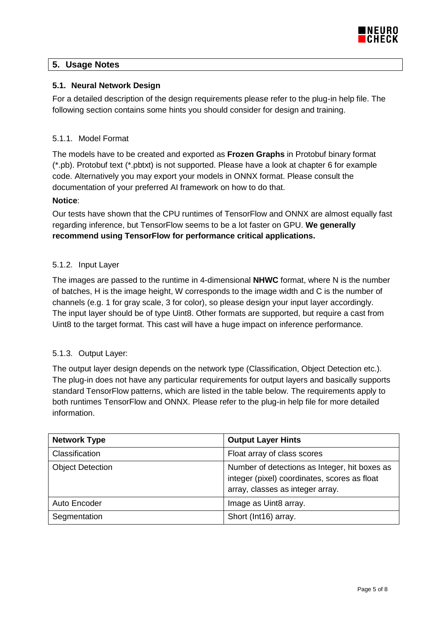

# <span id="page-4-0"></span>**5. Usage Notes**

# <span id="page-4-1"></span>**5.1. Neural Network Design**

For a detailed description of the design requirements please refer to the plug-in help file. The following section contains some hints you should consider for design and training.

# <span id="page-4-2"></span>5.1.1. Model Format

The models have to be created and exported as **Frozen Graphs** in Protobuf binary format (\*.pb). Protobuf text (\*.pbtxt) is not supported. Please have a look at chapter [6](#page-7-0) for example code. Alternatively you may export your models in ONNX format. Please consult the documentation of your preferred AI framework on how to do that.

# **Notice**:

Our tests have shown that the CPU runtimes of TensorFlow and ONNX are almost equally fast regarding inference, but TensorFlow seems to be a lot faster on GPU. **We generally recommend using TensorFlow for performance critical applications.**

# <span id="page-4-3"></span>5.1.2. Input Layer

The images are passed to the runtime in 4-dimensional **NHWC** format, where N is the number of batches, H is the image height, W corresponds to the image width and C is the number of channels (e.g. 1 for gray scale, 3 for color), so please design your input layer accordingly. The input layer should be of type Uint8. Other formats are supported, but require a cast from Uint8 to the target format. This cast will have a huge impact on inference performance.

# <span id="page-4-4"></span>5.1.3. Output Layer:

The output layer design depends on the network type (Classification, Object Detection etc.). The plug-in does not have any particular requirements for output layers and basically supports standard TensorFlow patterns, which are listed in the table below. The requirements apply to both runtimes TensorFlow and ONNX. Please refer to the plug-in help file for more detailed information.

| <b>Network Type</b>     | <b>Output Layer Hints</b>                                                                                                         |
|-------------------------|-----------------------------------------------------------------------------------------------------------------------------------|
| Classification          | Float array of class scores                                                                                                       |
| <b>Object Detection</b> | Number of detections as Integer, hit boxes as<br>integer (pixel) coordinates, scores as float<br>array, classes as integer array. |
| Auto Encoder            | Image as Uint8 array.                                                                                                             |
| Segmentation            | Short (Int16) array.                                                                                                              |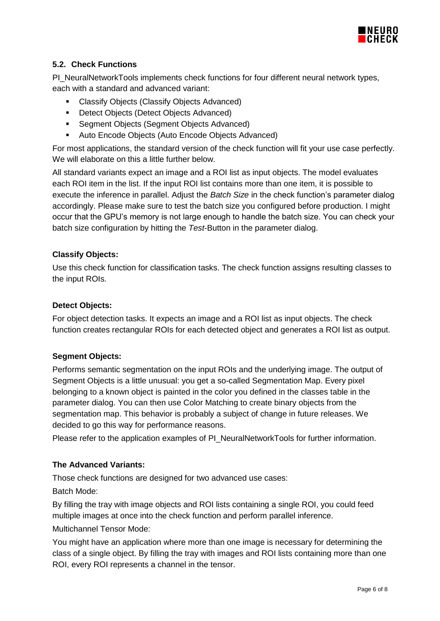

# <span id="page-5-0"></span>**5.2. Check Functions**

PI\_NeuralNetworkTools implements check functions for four different neural network types, each with a standard and advanced variant:

- **EXECLASSIFY Objects (Classify Objects Advanced)**
- **•** Detect Objects (Detect Objects Advanced)
- **Segment Objects (Segment Objects Advanced)**
- Auto Encode Objects (Auto Encode Objects Advanced)

For most applications, the standard version of the check function will fit your use case perfectly. We will elaborate on this a little further below.

All standard variants expect an image and a ROI list as input objects. The model evaluates each ROI item in the list. If the input ROI list contains more than one item, it is possible to execute the inference in parallel. Adjust the *Batch Size* in the check function's parameter dialog accordingly. Please make sure to test the batch size you configured before production. I might occur that the GPU's memory is not large enough to handle the batch size. You can check your batch size configuration by hitting the *Test*-Button in the parameter dialog.

# **Classify Objects:**

Use this check function for classification tasks. The check function assigns resulting classes to the input ROIs.

# **Detect Objects:**

For object detection tasks. It expects an image and a ROI list as input objects. The check function creates rectangular ROIs for each detected object and generates a ROI list as output.

# **Segment Objects:**

Performs semantic segmentation on the input ROIs and the underlying image. The output of Segment Objects is a little unusual: you get a so-called Segmentation Map. Every pixel belonging to a known object is painted in the color you defined in the classes table in the parameter dialog. You can then use Color Matching to create binary objects from the segmentation map. This behavior is probably a subject of change in future releases. We decided to go this way for performance reasons.

Please refer to the application examples of PI\_NeuralNetworkTools for further information.

# **The Advanced Variants:**

Those check functions are designed for two advanced use cases:

Batch Mode:

By filling the tray with image objects and ROI lists containing a single ROI, you could feed multiple images at once into the check function and perform parallel inference.

Multichannel Tensor Mode:

You might have an application where more than one image is necessary for determining the class of a single object. By filling the tray with images and ROI lists containing more than one ROI, every ROI represents a channel in the tensor.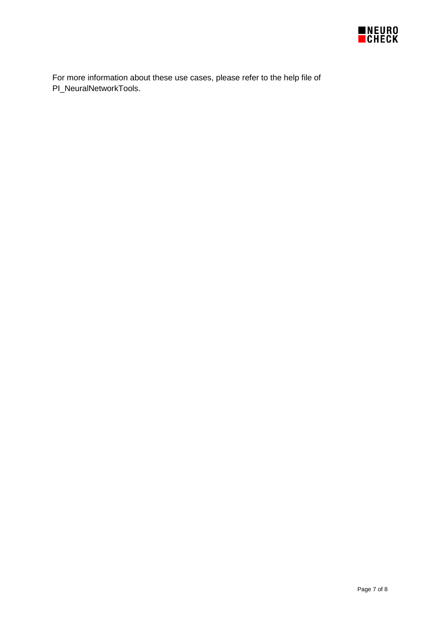

For more information about these use cases, please refer to the help file of PI\_NeuralNetworkTools.